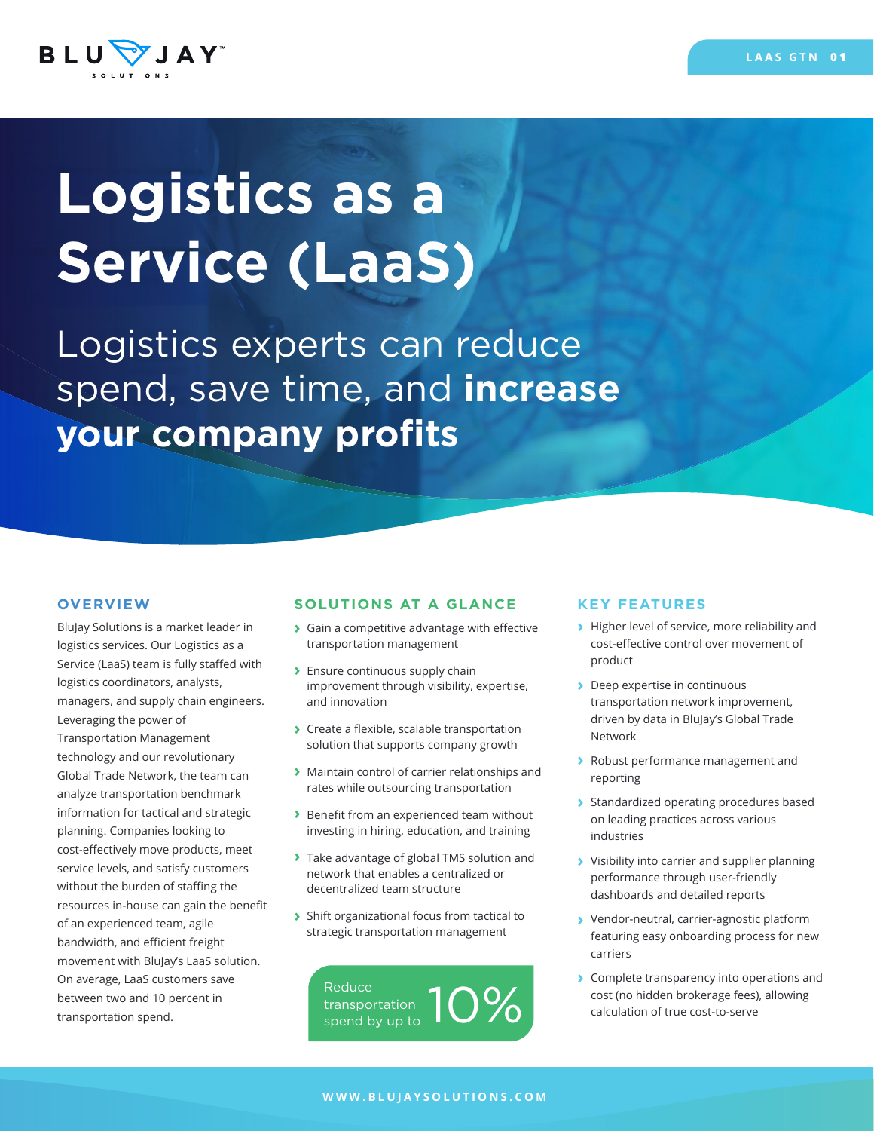

# **Logistics as a Service (LaaS)**

Logistics experts can reduce spend, save time, and **increase your company profits**

BluJay Solutions is a market leader in logistics services. Our Logistics as a Service (LaaS) team is fully staffed with logistics coordinators, analysts, managers, and supply chain engineers. Leveraging the power of Transportation Management technology and our revolutionary Global Trade Network, the team can analyze transportation benchmark information for tactical and strategic planning. Companies looking to cost-effectively move products, meet service levels, and satisfy customers without the burden of staffing the resources in-house can gain the benefit of an experienced team, agile bandwidth, and efficient freight movement with BluJay's LaaS solution. On average, LaaS customers save between two and 10 percent in transportation spend.

#### **OVERVIEW SOLUTIONS AT A GLANCE**

- **›** Gain a competitive advantage with effective transportation management
- **›** Ensure continuous supply chain improvement through visibility, expertise, and innovation
- **›** Create a flexible, scalable transportation solution that supports company growth
- **›** Maintain control of carrier relationships and rates while outsourcing transportation
- **›** Benefit from an experienced team without investing in hiring, education, and training
- **›** Take advantage of global TMS solution and network that enables a centralized or decentralized team structure
- **›** Shift organizational focus from tactical to strategic transportation management



#### **KEY FEATURES**

- **›** Higher level of service, more reliability and cost-effective control over movement of product
- **›** Deep expertise in continuous transportation network improvement, driven by data in BluJay's Global Trade Network
- **›** Robust performance management and reporting
- **›** Standardized operating procedures based on leading practices across various industries
- **›** Visibility into carrier and supplier planning performance through user-friendly dashboards and detailed reports
- **›** Vendor-neutral, carrier-agnostic platform featuring easy onboarding process for new carriers
- **›** Complete transparency into operations and **10%** cost (no hidden brokerage fees), allowing calculation of true cost-to-serve